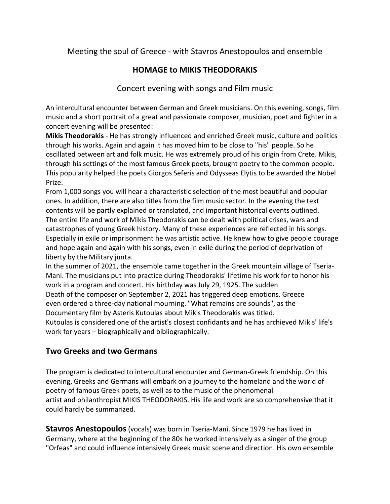## Meeting the soul of Greece - with Stavros Anestopoulos and ensemble

## **HOMAGE to MIKIS THEODORAKIS**

## Concert evening with songs and Film music

An intercultural encounter between German and Greek musicians. On this evening, songs, film music and a short portrait of a great and passionate composer, musician, poet and fighter in a concert evening will be presented:

**Mikis Theodorakis** - He has strongly influenced and enriched Greek music, culture and politics through his works. Again and again it has moved him to be close to "his" people. So he oscillated between art and folk music. He was extremely proud of his origin from Crete. Mikis, through his settings of the most famous Greek poets, brought poetry to the common people. This popularity helped the poets Giorgos Seferis and Odysseas Elytis to be awarded the Nobel Prize.

From 1,000 songs you will hear a characteristic selection of the most beautiful and popular ones. In addition, there are also titles from the film music sector. In the evening the text contents will be partly explained or translated, and important historical events outlined. The entire life and work of Mikis Theodorakis can be dealt with political crises, wars and catastrophes of young Greek history. Many of these experiences are reflected in his songs. Especially in exile or imprisonment he was artistic active. He knew how to give people courage and hope again and again with his songs, even in exile during the period of deprivation of liberty by the Military junta.

In the summer of 2021, the ensemble came together in the Greek mountain village of Tseria-Mani. The musicians put into practice during Theodorakis' lifetime his work for to honor his work in a program and concert. His birthday was July 29, 1925. The sudden Death of the composer on September 2, 2021 has triggered deep emotions. Greece even ordered a three-day national mourning. "What remains are sounds", as the Documentary film by Asteris Kutoulas about Mikis Theodorakis was titled. Kutoulas is considered one of the artist's closest confidants and he has archieved Mikis' life's work for years – biographically and bibliographically.

## **Two Greeks and two Germans**

The program is dedicated to intercultural encounter and German-Greek friendship. On this evening, Greeks and Germans will embark on a journey to the homeland and the world of poetry of famous Greek poets, as well as to the music of the phenomenal artist and philanthropist MIKIS THEODORAKIS. His life and work are so comprehensive that it could hardly be summarized.

**Stavros Anestopoulos** (vocals) was born in Tseria-Mani. Since 1979 he has lived in Germany, where at the beginning of the 80s he worked intensively as a singer of the group "Orfeas" and could influence intensively Greek music scene and direction. His own ensemble